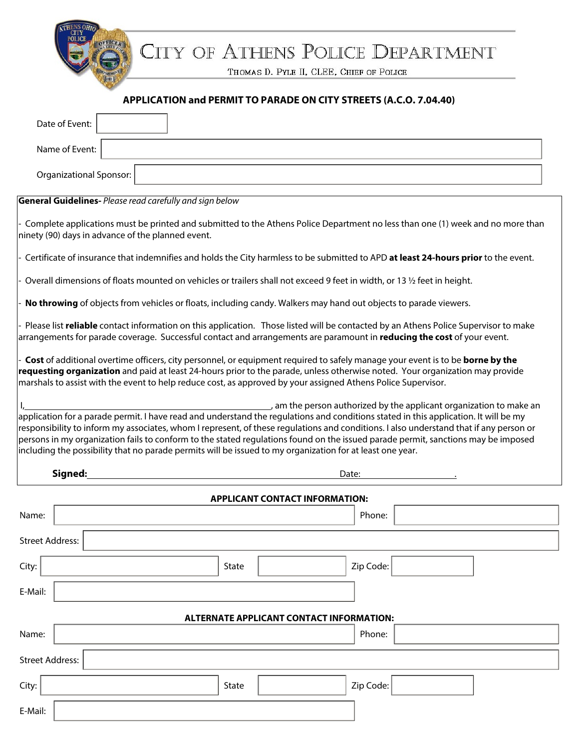CITY OF ATHENS POLICE DEPARTMENT

THOMAS D. PYLE II, CLEE, CHIEF OF POLICE

## **APPLICATION and PERMIT TO PARADE ON CITY STREETS (A.C.O. 7.04.40)**

| Date of Event:                                                                                                                                                                                                                                                                                                                                                                                                                                                                                                                                                                                                            |  |       |  |           |  |  |  |
|---------------------------------------------------------------------------------------------------------------------------------------------------------------------------------------------------------------------------------------------------------------------------------------------------------------------------------------------------------------------------------------------------------------------------------------------------------------------------------------------------------------------------------------------------------------------------------------------------------------------------|--|-------|--|-----------|--|--|--|
| Name of Event:                                                                                                                                                                                                                                                                                                                                                                                                                                                                                                                                                                                                            |  |       |  |           |  |  |  |
| <b>Organizational Sponsor:</b>                                                                                                                                                                                                                                                                                                                                                                                                                                                                                                                                                                                            |  |       |  |           |  |  |  |
| <b>General Guidelines-</b> Please read carefully and sign below                                                                                                                                                                                                                                                                                                                                                                                                                                                                                                                                                           |  |       |  |           |  |  |  |
| Complete applications must be printed and submitted to the Athens Police Department no less than one (1) week and no more than<br>ninety (90) days in advance of the planned event.                                                                                                                                                                                                                                                                                                                                                                                                                                       |  |       |  |           |  |  |  |
| Certificate of insurance that indemnifies and holds the City harmless to be submitted to APD at least 24-hours prior to the event.                                                                                                                                                                                                                                                                                                                                                                                                                                                                                        |  |       |  |           |  |  |  |
| Overall dimensions of floats mounted on vehicles or trailers shall not exceed 9 feet in width, or 13 1/2 feet in height.                                                                                                                                                                                                                                                                                                                                                                                                                                                                                                  |  |       |  |           |  |  |  |
| No throwing of objects from vehicles or floats, including candy. Walkers may hand out objects to parade viewers.                                                                                                                                                                                                                                                                                                                                                                                                                                                                                                          |  |       |  |           |  |  |  |
| Please list reliable contact information on this application. Those listed will be contacted by an Athens Police Supervisor to make<br>arrangements for parade coverage. Successful contact and arrangements are paramount in reducing the cost of your event.                                                                                                                                                                                                                                                                                                                                                            |  |       |  |           |  |  |  |
| Cost of additional overtime officers, city personnel, or equipment required to safely manage your event is to be borne by the<br>requesting organization and paid at least 24-hours prior to the parade, unless otherwise noted. Your organization may provide<br>marshals to assist with the event to help reduce cost, as approved by your assigned Athens Police Supervisor.                                                                                                                                                                                                                                           |  |       |  |           |  |  |  |
| am the person authorized by the applicant organization to make an<br>application for a parade permit. I have read and understand the regulations and conditions stated in this application. It will be my<br>responsibility to inform my associates, whom I represent, of these regulations and conditions. I also understand that if any person or<br>persons in my organization fails to conform to the stated regulations found on the issued parade permit, sanctions may be imposed<br>including the possibility that no parade permits will be issued to my organization for at least one year.<br>Signed:<br>Date: |  |       |  |           |  |  |  |
| <b>APPLICANT CONTACT INFORMATION:</b>                                                                                                                                                                                                                                                                                                                                                                                                                                                                                                                                                                                     |  |       |  |           |  |  |  |
| Name:                                                                                                                                                                                                                                                                                                                                                                                                                                                                                                                                                                                                                     |  |       |  | Phone:    |  |  |  |
| Street Address:                                                                                                                                                                                                                                                                                                                                                                                                                                                                                                                                                                                                           |  |       |  |           |  |  |  |
| City:                                                                                                                                                                                                                                                                                                                                                                                                                                                                                                                                                                                                                     |  | State |  | Zip Code: |  |  |  |
| E-Mail:                                                                                                                                                                                                                                                                                                                                                                                                                                                                                                                                                                                                                   |  |       |  |           |  |  |  |
| <b>ALTERNATE APPLICANT CONTACT INFORMATION:</b>                                                                                                                                                                                                                                                                                                                                                                                                                                                                                                                                                                           |  |       |  |           |  |  |  |
| Name:                                                                                                                                                                                                                                                                                                                                                                                                                                                                                                                                                                                                                     |  |       |  | Phone:    |  |  |  |
| <b>Street Address:</b>                                                                                                                                                                                                                                                                                                                                                                                                                                                                                                                                                                                                    |  |       |  |           |  |  |  |
| City:                                                                                                                                                                                                                                                                                                                                                                                                                                                                                                                                                                                                                     |  | State |  | Zip Code: |  |  |  |
| E-Mail:                                                                                                                                                                                                                                                                                                                                                                                                                                                                                                                                                                                                                   |  |       |  |           |  |  |  |